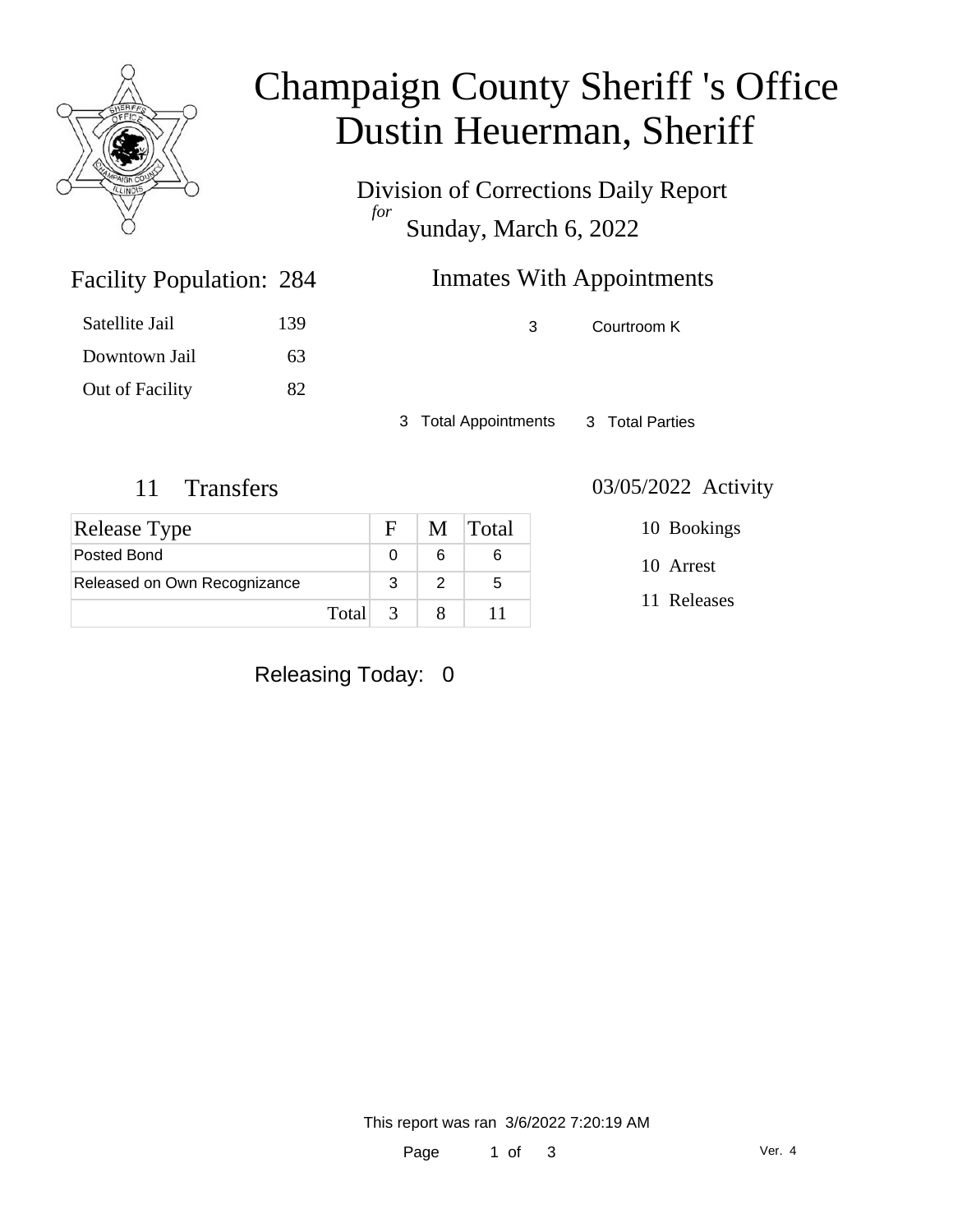

# Champaign County Sheriff 's Office Dustin Heuerman, Sheriff

Division of Corrections Daily Report *for* Sunday, March 6, 2022

| 284 | <b>Inmates With Appointments</b> |  |  |
|-----|----------------------------------|--|--|
| 139 | Courtroom K                      |  |  |

Satellite Jail 139 Downtown Jail 63 Out of Facility 82

Facility Population: 284

3 Total Appointments 3 Total Parties

| <b>Release Type</b>          |         | $F_{\perp}$ | M Total |
|------------------------------|---------|-------------|---------|
| Posted Bond                  |         |             |         |
| Released on Own Recognizance |         |             | 5       |
|                              | Total 3 |             |         |

11 Transfers 03/05/2022 Activity

10 Bookings

10 Arrest

11 Releases

Releasing Today: 0

This report was ran 3/6/2022 7:20:19 AM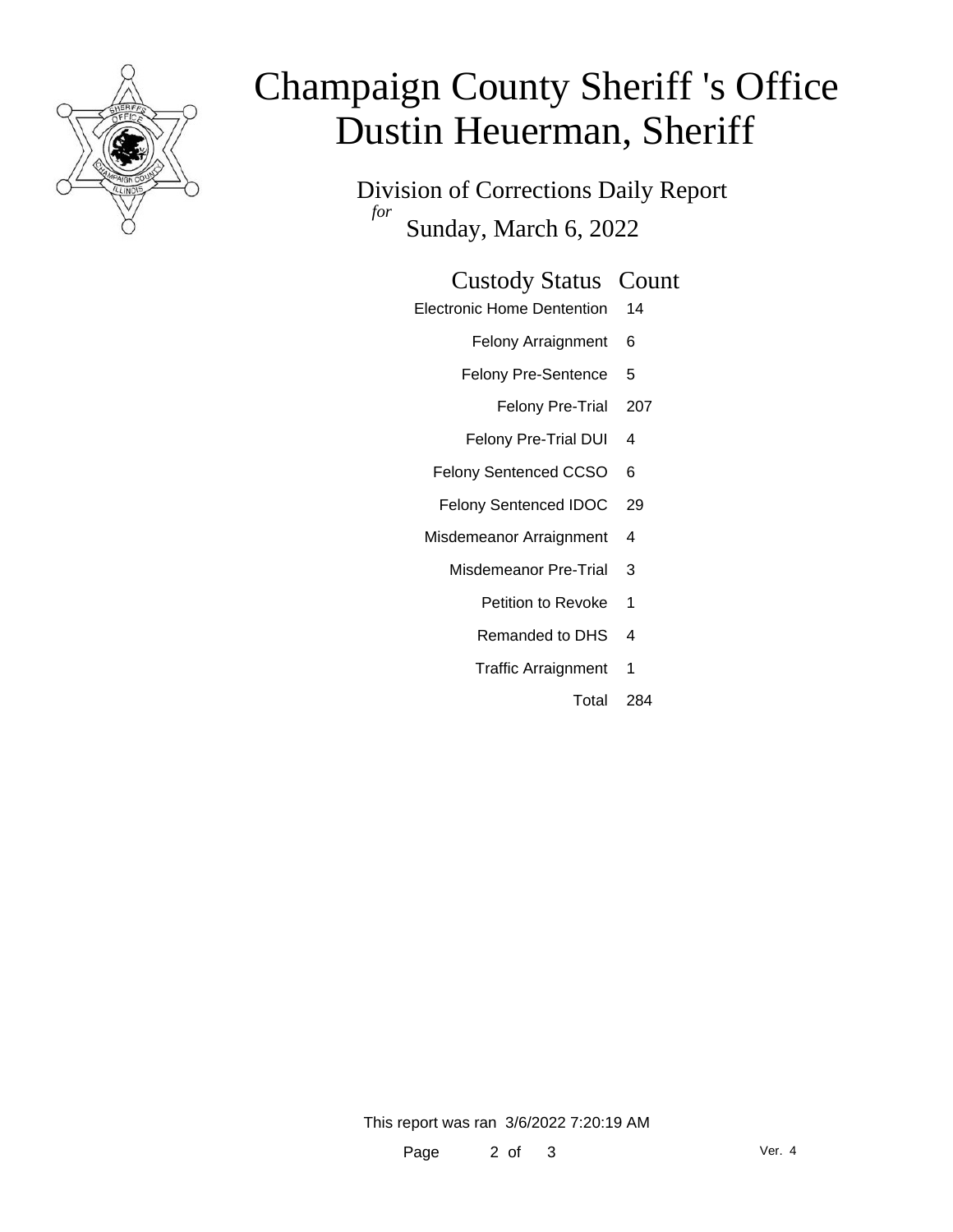

# Champaign County Sheriff 's Office Dustin Heuerman, Sheriff

Division of Corrections Daily Report *for* Sunday, March 6, 2022

### Custody Status Count

- Electronic Home Dentention 14
	- Felony Arraignment 6
	- Felony Pre-Sentence 5
		- Felony Pre-Trial 207
	- Felony Pre-Trial DUI 4
	- Felony Sentenced CCSO 6
	- Felony Sentenced IDOC 29
	- Misdemeanor Arraignment 4
		- Misdemeanor Pre-Trial 3
			- Petition to Revoke 1
			- Remanded to DHS 4
			- Traffic Arraignment 1
				- Total 284

This report was ran 3/6/2022 7:20:19 AM